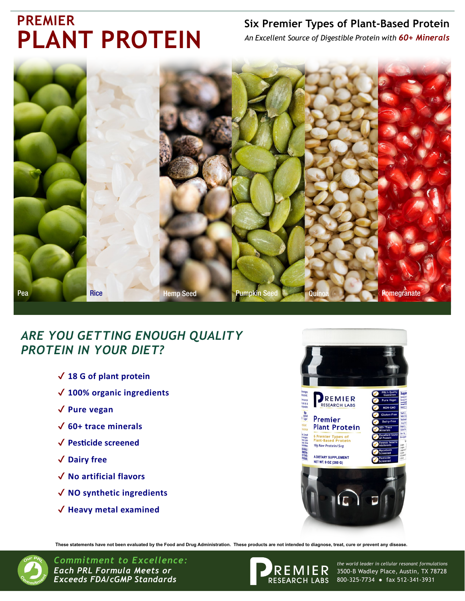# **PREMIER PLANT PROTEIN**

### **Six Premier Types of Plant-Based Protein**

*An Excellent Source of Digestible Protein with 60+ Minerals*



## *ARE YOU GETTING ENOUGH QUALITY PROTEIN IN YOUR DIET?*

- ✔ **18 G of plant protein**
- ✔ **100% organic ingredients**
- ✔ **Pure vegan**
- ✔ **60+ trace minerals**
- ✔ **Pesticide screened**
- ✔ **Dairy free**
- ✔ **No artificial flavors**
- ✔ **NO synthetic ingredients**
- ✔ **Heavy metal examined**



**These statements have not been evaluated by the Food and Drug Administration. These products are not intended to diagnose, treat, cure or prevent any disease.**



*Commitment to Excellence: Each PRL Formula Meets or Exceeds FDA/cGMP Standards*



3500-B Wadley Place, Austin, TX 78728 800-325-7734 ● fax 512-341-3931 *the world leader in cellular resonant formulations*